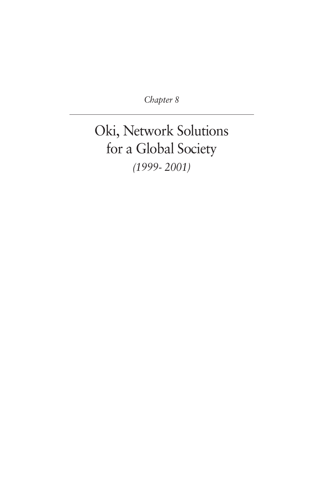*Chapter 8*

# Oki, Network Solutions for a Global Society *(1999- 2001)*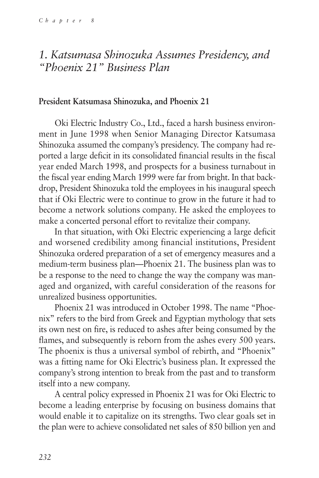## *1. Katsumasa Shinozuka Assumes Presidency, and "Phoenix 21" Business Plan*

#### **President Katsumasa Shinozuka, and Phoenix 21**

Oki Electric Industry Co., Ltd., faced a harsh business environment in June 1998 when Senior Managing Director Katsumasa Shinozuka assumed the company's presidency. The company had reported a large deficit in its consolidated financial results in the fiscal year ended March 1998, and prospects for a business turnabout in the fiscal year ending March 1999 were far from bright. In that backdrop, President Shinozuka told the employees in his inaugural speech that if Oki Electric were to continue to grow in the future it had to become a network solutions company. He asked the employees to make a concerted personal effort to revitalize their company.

In that situation, with Oki Electric experiencing a large deficit and worsened credibility among financial institutions, President Shinozuka ordered preparation of a set of emergency measures and a medium-term business plan—Phoenix 21. The business plan was to be a response to the need to change the way the company was managed and organized, with careful consideration of the reasons for unrealized business opportunities.

Phoenix 21 was introduced in October 1998. The name "Phoenix" refers to the bird from Greek and Egyptian mythology that sets its own nest on fire, is reduced to ashes after being consumed by the flames, and subsequently is reborn from the ashes every 500 years. The phoenix is thus a universal symbol of rebirth, and "Phoenix" was a fitting name for Oki Electric's business plan. It expressed the company's strong intention to break from the past and to transform itself into a new company.

A central policy expressed in Phoenix 21 was for Oki Electric to become a leading enterprise by focusing on business domains that would enable it to capitalize on its strengths. Two clear goals set in the plan were to achieve consolidated net sales of 850 billion yen and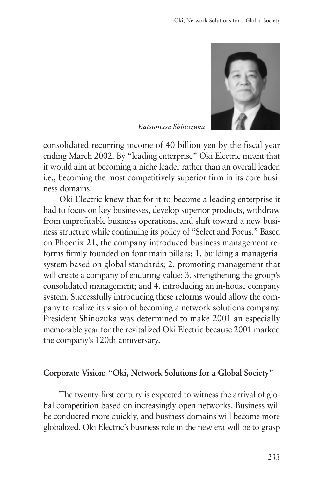

*Katsumasa Shinozuka*

consolidated recurring income of 40 billion yen by the fiscal year ending March 2002. By "leading enterprise" Oki Electric meant that it would aim at becoming a niche leader rather than an overall leader, i.e., becoming the most competitively superior firm in its core business domains.

Oki Electric knew that for it to become a leading enterprise it had to focus on key businesses, develop superior products, withdraw from unprofitable business operations, and shift toward a new business structure while continuing its policy of "Select and Focus." Based on Phoenix 21, the company introduced business management reforms firmly founded on four main pillars: 1. building a managerial system based on global standards; 2. promoting management that will create a company of enduring value; 3. strengthening the group's consolidated management; and 4. introducing an in-house company system. Successfully introducing these reforms would allow the company to realize its vision of becoming a network solutions company. President Shinozuka was determined to make 2001 an especially memorable year for the revitalized Oki Electric because 2001 marked the company's 120th anniversary.

#### **Corporate Vision: "Oki, Network Solutions for a Global Society"**

The twenty-first century is expected to witness the arrival of global competition based on increasingly open networks. Business will be conducted more quickly, and business domains will become more globalized. Oki Electric's business role in the new era will be to grasp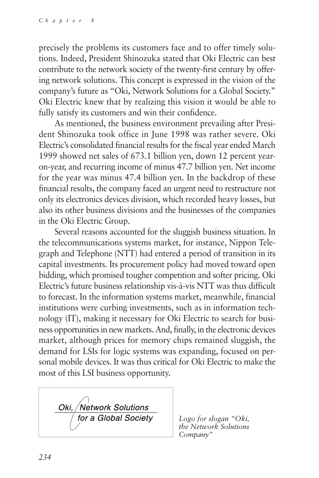precisely the problems its customers face and to offer timely solutions. Indeed, President Shinozuka stated that Oki Electric can best contribute to the network society of the twenty-first century by offering network solutions. This concept is expressed in the vision of the company's future as "Oki, Network Solutions for a Global Society." Oki Electric knew that by realizing this vision it would be able to fully satisfy its customers and win their confidence.

As mentioned, the business environment prevailing after President Shinozuka took office in June 1998 was rather severe. Oki Electric's consolidated financial results for the fiscal year ended March 1999 showed net sales of 673.1 billion yen, down 12 percent yearon-year, and recurring income of minus 47.7 billion yen. Net income for the year was minus 47.4 billion yen. In the backdrop of these financial results, the company faced an urgent need to restructure not only its electronics devices division, which recorded heavy losses, but also its other business divisions and the businesses of the companies in the Oki Electric Group.

Several reasons accounted for the sluggish business situation. In the telecommunications systems market, for instance, Nippon Telegraph and Telephone (NTT) had entered a period of transition in its capital investments. Its procurement policy had moved toward open bidding, which promised tougher competition and softer pricing. Oki Electric's future business relationship vis-à-vis NTT was thus difficult to forecast. In the information systems market, meanwhile, financial institutions were curbing investments, such as in information technology (IT), making it necessary for Oki Electric to search for business opportunities in new markets. And, finally, in the electronic devices market, although prices for memory chips remained sluggish, the demand for LSIs for logic systems was expanding, focused on personal mobile devices. It was thus critical for Oki Electric to make the most of this LSI business opportunity.

Oki, / Network Solutions for a Global Society

*Logo for slogan "Oki, the Network Solutions Company"*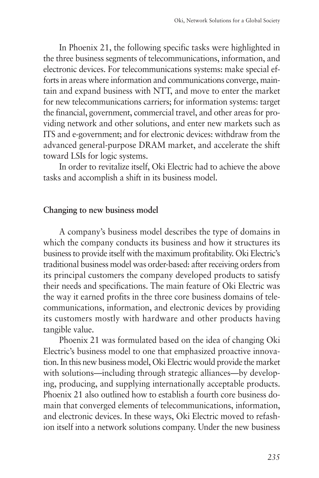In Phoenix 21, the following specific tasks were highlighted in the three business segments of telecommunications, information, and electronic devices. For telecommunications systems: make special efforts in areas where information and communications converge, maintain and expand business with NTT, and move to enter the market for new telecommunications carriers; for information systems: target the financial, government, commercial travel, and other areas for providing network and other solutions, and enter new markets such as ITS and e-government; and for electronic devices: withdraw from the advanced general-purpose DRAM market, and accelerate the shift toward LSIs for logic systems.

In order to revitalize itself, Oki Electric had to achieve the above tasks and accomplish a shift in its business model.

### **Changing to new business model**

A company's business model describes the type of domains in which the company conducts its business and how it structures its business to provide itself with the maximum profitability. Oki Electric's traditional business model was order-based: after receiving orders from its principal customers the company developed products to satisfy their needs and specifications. The main feature of Oki Electric was the way it earned profits in the three core business domains of telecommunications, information, and electronic devices by providing its customers mostly with hardware and other products having tangible value.

Phoenix 21 was formulated based on the idea of changing Oki Electric's business model to one that emphasized proactive innovation. In this new business model, Oki Electric would provide the market with solutions—including through strategic alliances—by developing, producing, and supplying internationally acceptable products. Phoenix 21 also outlined how to establish a fourth core business domain that converged elements of telecommunications, information, and electronic devices. In these ways, Oki Electric moved to refashion itself into a network solutions company. Under the new business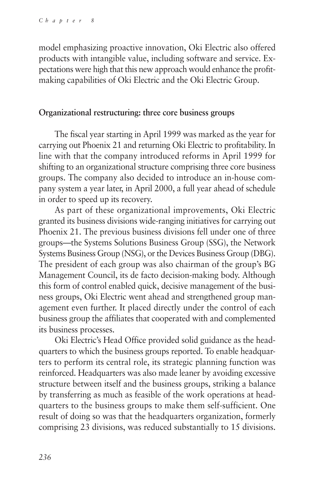model emphasizing proactive innovation, Oki Electric also offered products with intangible value, including software and service. Expectations were high that this new approach would enhance the profitmaking capabilities of Oki Electric and the Oki Electric Group.

#### **Organizational restructuring: three core business groups**

The fiscal year starting in April 1999 was marked as the year for carrying out Phoenix 21 and returning Oki Electric to profitability. In line with that the company introduced reforms in April 1999 for shifting to an organizational structure comprising three core business groups. The company also decided to introduce an in-house company system a year later, in April 2000, a full year ahead of schedule in order to speed up its recovery.

As part of these organizational improvements, Oki Electric granted its business divisions wide-ranging initiatives for carrying out Phoenix 21. The previous business divisions fell under one of three groups—the Systems Solutions Business Group (SSG), the Network Systems Business Group (NSG), or the Devices Business Group (DBG). The president of each group was also chairman of the group's BG Management Council, its de facto decision-making body. Although this form of control enabled quick, decisive management of the business groups, Oki Electric went ahead and strengthened group management even further. It placed directly under the control of each business group the affiliates that cooperated with and complemented its business processes.

Oki Electric's Head Office provided solid guidance as the headquarters to which the business groups reported. To enable headquarters to perform its central role, its strategic planning function was reinforced. Headquarters was also made leaner by avoiding excessive structure between itself and the business groups, striking a balance by transferring as much as feasible of the work operations at headquarters to the business groups to make them self-sufficient. One result of doing so was that the headquarters organization, formerly comprising 23 divisions, was reduced substantially to 15 divisions.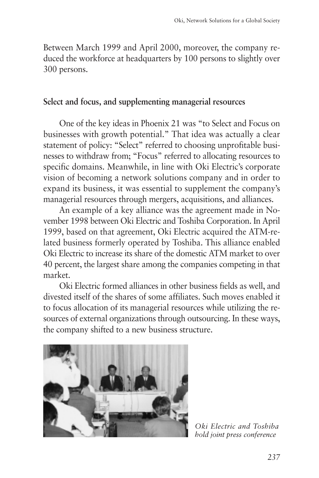Between March 1999 and April 2000, moreover, the company reduced the workforce at headquarters by 100 persons to slightly over 300 persons.

#### **Select and focus, and supplementing managerial resources**

One of the key ideas in Phoenix 21 was "to Select and Focus on businesses with growth potential." That idea was actually a clear statement of policy: "Select" referred to choosing unprofitable businesses to withdraw from; "Focus" referred to allocating resources to specific domains. Meanwhile, in line with Oki Electric's corporate vision of becoming a network solutions company and in order to expand its business, it was essential to supplement the company's managerial resources through mergers, acquisitions, and alliances.

An example of a key alliance was the agreement made in November 1998 between Oki Electric and Toshiba Corporation. In April 1999, based on that agreement, Oki Electric acquired the ATM-related business formerly operated by Toshiba. This alliance enabled Oki Electric to increase its share of the domestic ATM market to over 40 percent, the largest share among the companies competing in that market.

Oki Electric formed alliances in other business fields as well, and divested itself of the shares of some affiliates. Such moves enabled it to focus allocation of its managerial resources while utilizing the resources of external organizations through outsourcing. In these ways, the company shifted to a new business structure.



*Oki Electric and Toshiba hold joint press conference*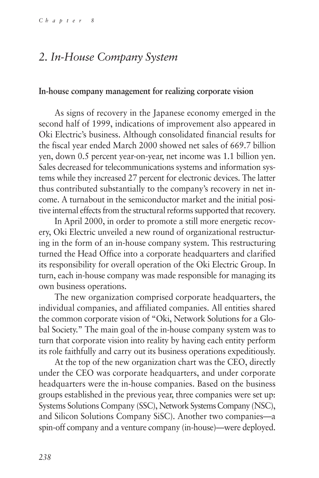# *2. In-House Company System*

#### **In-house company management for realizing corporate vision**

As signs of recovery in the Japanese economy emerged in the second half of 1999, indications of improvement also appeared in Oki Electric's business. Although consolidated financial results for the fiscal year ended March 2000 showed net sales of 669.7 billion yen, down 0.5 percent year-on-year, net income was 1.1 billion yen. Sales decreased for telecommunications systems and information systems while they increased 27 percent for electronic devices. The latter thus contributed substantially to the company's recovery in net income. A turnabout in the semiconductor market and the initial positive internal effects from the structural reforms supported that recovery.

In April 2000, in order to promote a still more energetic recovery, Oki Electric unveiled a new round of organizational restructuring in the form of an in-house company system. This restructuring turned the Head Office into a corporate headquarters and clarified its responsibility for overall operation of the Oki Electric Group. In turn, each in-house company was made responsible for managing its own business operations.

The new organization comprised corporate headquarters, the individual companies, and affiliated companies. All entities shared the common corporate vision of "Oki, Network Solutions for a Global Society." The main goal of the in-house company system was to turn that corporate vision into reality by having each entity perform its role faithfully and carry out its business operations expeditiously.

At the top of the new organization chart was the CEO, directly under the CEO was corporate headquarters, and under corporate headquarters were the in-house companies. Based on the business groups established in the previous year, three companies were set up: Systems Solutions Company (SSC), Network Systems Company (NSC), and Silicon Solutions Company SiSC). Another two companies—a spin-off company and a venture company (in-house)—were deployed.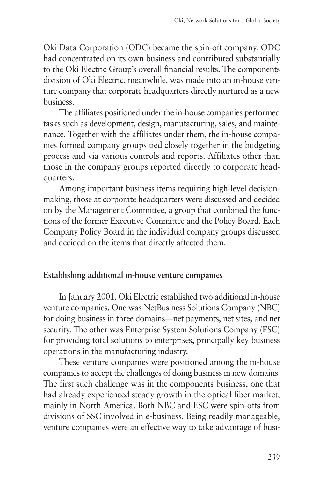Oki Data Corporation (ODC) became the spin-off company. ODC had concentrated on its own business and contributed substantially to the Oki Electric Group's overall financial results. The components division of Oki Electric, meanwhile, was made into an in-house venture company that corporate headquarters directly nurtured as a new business.

The affiliates positioned under the in-house companies performed tasks such as development, design, manufacturing, sales, and maintenance. Together with the affiliates under them, the in-house companies formed company groups tied closely together in the budgeting process and via various controls and reports. Affiliates other than those in the company groups reported directly to corporate headquarters.

Among important business items requiring high-level decisionmaking, those at corporate headquarters were discussed and decided on by the Management Committee, a group that combined the functions of the former Executive Committee and the Policy Board. Each Company Policy Board in the individual company groups discussed and decided on the items that directly affected them.

#### **Establishing additional in-house venture companies**

In January 2001, Oki Electric established two additional in-house venture companies. One was NetBusiness Solutions Company (NBC) for doing business in three domains—net payments, net sites, and net security. The other was Enterprise System Solutions Company (ESC) for providing total solutions to enterprises, principally key business operations in the manufacturing industry.

These venture companies were positioned among the in-house companies to accept the challenges of doing business in new domains. The first such challenge was in the components business, one that had already experienced steady growth in the optical fiber market, mainly in North America. Both NBC and ESC were spin-offs from divisions of SSC involved in e-business. Being readily manageable, venture companies were an effective way to take advantage of busi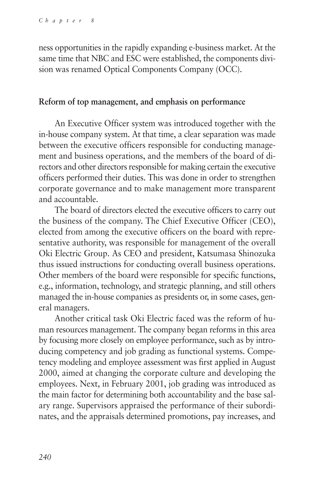ness opportunities in the rapidly expanding e-business market. At the same time that NBC and ESC were established, the components division was renamed Optical Components Company (OCC).

#### **Reform of top management, and emphasis on performance**

An Executive Officer system was introduced together with the in-house company system. At that time, a clear separation was made between the executive officers responsible for conducting management and business operations, and the members of the board of directors and other directors responsible for making certain the executive officers performed their duties. This was done in order to strengthen corporate governance and to make management more transparent and accountable.

The board of directors elected the executive officers to carry out the business of the company. The Chief Executive Officer (CEO), elected from among the executive officers on the board with representative authority, was responsible for management of the overall Oki Electric Group. As CEO and president, Katsumasa Shinozuka thus issued instructions for conducting overall business operations. Other members of the board were responsible for specific functions, e.g., information, technology, and strategic planning, and still others managed the in-house companies as presidents or, in some cases, general managers.

Another critical task Oki Electric faced was the reform of human resources management. The company began reforms in this area by focusing more closely on employee performance, such as by introducing competency and job grading as functional systems. Competency modeling and employee assessment was first applied in August 2000, aimed at changing the corporate culture and developing the employees. Next, in February 2001, job grading was introduced as the main factor for determining both accountability and the base salary range. Supervisors appraised the performance of their subordinates, and the appraisals determined promotions, pay increases, and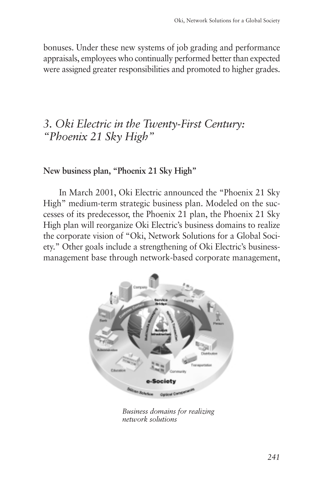bonuses. Under these new systems of job grading and performance appraisals, employees who continually performed better than expected were assigned greater responsibilities and promoted to higher grades.

# *3. Oki Electric in the Twenty-First Century: "Phoenix 21 Sky High"*

## **New business plan, "Phoenix 21 Sky High"**

In March 2001, Oki Electric announced the "Phoenix 21 Sky High" medium-term strategic business plan. Modeled on the successes of its predecessor, the Phoenix 21 plan, the Phoenix 21 Sky High plan will reorganize Oki Electric's business domains to realize the corporate vision of "Oki, Network Solutions for a Global Society." Other goals include a strengthening of Oki Electric's businessmanagement base through network-based corporate management,



*Business domains for realizing network solutions*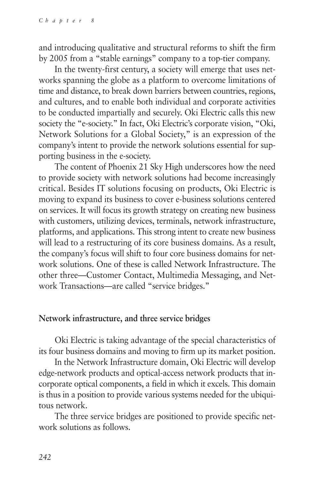and introducing qualitative and structural reforms to shift the firm by 2005 from a "stable earnings" company to a top-tier company.

In the twenty-first century, a society will emerge that uses networks spanning the globe as a platform to overcome limitations of time and distance, to break down barriers between countries, regions, and cultures, and to enable both individual and corporate activities to be conducted impartially and securely. Oki Electric calls this new society the "e-society." In fact, Oki Electric's corporate vision, "Oki, Network Solutions for a Global Society," is an expression of the company's intent to provide the network solutions essential for supporting business in the e-society.

The content of Phoenix 21 Sky High underscores how the need to provide society with network solutions had become increasingly critical. Besides IT solutions focusing on products, Oki Electric is moving to expand its business to cover e-business solutions centered on services. It will focus its growth strategy on creating new business with customers, utilizing devices, terminals, network infrastructure, platforms, and applications. This strong intent to create new business will lead to a restructuring of its core business domains. As a result, the company's focus will shift to four core business domains for network solutions. One of these is called Network Infrastructure. The other three—Customer Contact, Multimedia Messaging, and Network Transactions—are called "service bridges."

## **Network infrastructure, and three service bridges**

Oki Electric is taking advantage of the special characteristics of its four business domains and moving to firm up its market position.

In the Network Infrastructure domain, Oki Electric will develop edge-network products and optical-access network products that incorporate optical components, a field in which it excels. This domain is thus in a position to provide various systems needed for the ubiquitous network.

The three service bridges are positioned to provide specific network solutions as follows.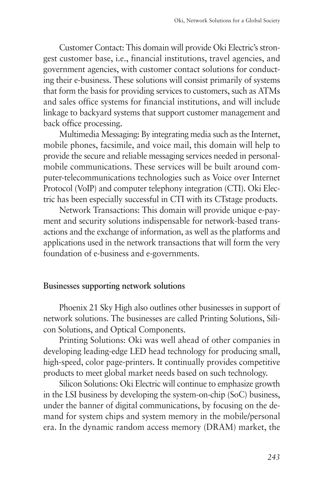Customer Contact: This domain will provide Oki Electric's strongest customer base, i.e., financial institutions, travel agencies, and government agencies, with customer contact solutions for conducting their e-business. These solutions will consist primarily of systems that form the basis for providing services to customers, such as ATMs and sales office systems for financial institutions, and will include linkage to backyard systems that support customer management and back office processing.

Multimedia Messaging: By integrating media such as the Internet, mobile phones, facsimile, and voice mail, this domain will help to provide the secure and reliable messaging services needed in personalmobile communications. These services will be built around computer-telecommunications technologies such as Voice over Internet Protocol (VoIP) and computer telephony integration (CTI). Oki Electric has been especially successful in CTI with its CTstage products.

Network Transactions: This domain will provide unique e-payment and security solutions indispensable for network-based transactions and the exchange of information, as well as the platforms and applications used in the network transactions that will form the very foundation of e-business and e-governments.

#### **Businesses supporting network solutions**

Phoenix 21 Sky High also outlines other businesses in support of network solutions. The businesses are called Printing Solutions, Silicon Solutions, and Optical Components.

Printing Solutions: Oki was well ahead of other companies in developing leading-edge LED head technology for producing small, high-speed, color page-printers. It continually provides competitive products to meet global market needs based on such technology.

Silicon Solutions: Oki Electric will continue to emphasize growth in the LSI business by developing the system-on-chip (SoC) business, under the banner of digital communications, by focusing on the demand for system chips and system memory in the mobile/personal era. In the dynamic random access memory (DRAM) market, the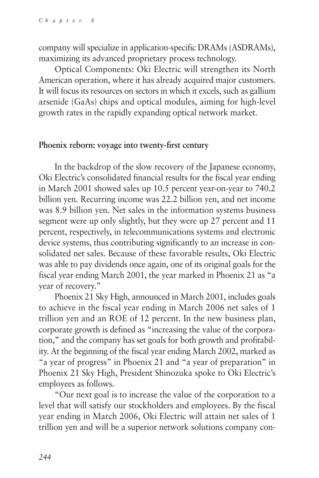company will specialize in application-specific DRAMs (ASDRAMs), maximizing its advanced proprietary process technology.

Optical Components: Oki Electric will strengthen its North American operation, where it has already acquired major customers. It will focus its resources on sectors in which it excels, such as gallium arsenide (GaAs) chips and optical modules, aiming for high-level growth rates in the rapidly expanding optical network market.

#### **Phoenix reborn: voyage into twenty-first century**

In the backdrop of the slow recovery of the Japanese economy, Oki Electric's consolidated financial results for the fiscal year ending in March 2001 showed sales up 10.5 percent year-on-year to 740.2 billion yen. Recurring income was 22.2 billion yen, and net income was 8.9 billion yen. Net sales in the information systems business segment were up only slightly, but they were up 27 percent and 11 percent, respectively, in telecommunications systems and electronic device systems, thus contributing significantly to an increase in consolidated net sales. Because of these favorable results, Oki Electric was able to pay dividends once again, one of its original goals for the fiscal year ending March 2001, the year marked in Phoenix 21 as "a year of recovery."

Phoenix 21 Sky High, announced in March 2001, includes goals to achieve in the fiscal year ending in March 2006 net sales of 1 trillion yen and an ROE of 12 percent. In the new business plan, corporate growth is defined as "increasing the value of the corporation," and the company has set goals for both growth and profitability. At the beginning of the fiscal year ending March 2002, marked as "a year of progress" in Phoenix 21 and "a year of preparation" in Phoenix 21 Sky High, President Shinozuka spoke to Oki Electric's employees as follows.

"Our next goal is to increase the value of the corporation to a level that will satisfy our stockholders and employees. By the fiscal year ending in March 2006, Oki Electric will attain net sales of 1 trillion yen and will be a superior network solutions company con